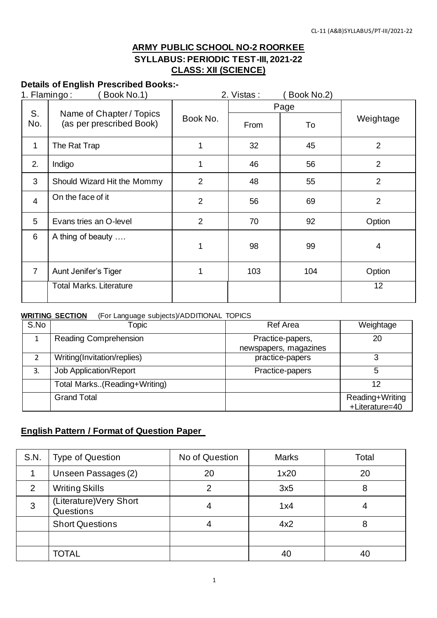### **ARMY PUBLIC SCHOOL NO-2 ROORKEE SYLLABUS: PERIODIC TEST-III, 2021-22 CLASS: XII (SCIENCE)**

### **Details of English Prescribed Books:-**

| 1. Flamingo:   | Book No.1)                                           |                | 2. Vistas: | Book No.2) |                |  |
|----------------|------------------------------------------------------|----------------|------------|------------|----------------|--|
|                |                                                      |                |            | Page       |                |  |
| S.<br>No.      | Name of Chapter / Topics<br>(as per prescribed Book) | Book No.       | From       | To         | Weightage      |  |
| $\mathbf 1$    | The Rat Trap                                         | 1              | 32         | 45         | 2              |  |
| 2.             | Indigo                                               | 1              | 46         | 56         | $\overline{2}$ |  |
| 3              | Should Wizard Hit the Mommy                          | $\overline{2}$ | 48         | 55         | $\overline{2}$ |  |
| $\overline{4}$ | On the face of it                                    | $\overline{2}$ | 56         | 69         | $\overline{2}$ |  |
| 5              | Evans tries an O-level                               | $\overline{2}$ | 70         | 92         | Option         |  |
| 6              | A thing of beauty                                    | 1              | 98         | 99         | 4              |  |
| $\overline{7}$ | Aunt Jenifer's Tiger                                 | 1              | 103        | 104        | Option         |  |
|                | <b>Total Marks. Literature</b>                       |                |            |            | 12             |  |

#### **WRITING SECTION** (For Language subjects)/ADDITIONAL TOPICS

| S.No | <b>Topic</b>                  | <b>Ref Area</b>                           | Weightage                         |
|------|-------------------------------|-------------------------------------------|-----------------------------------|
|      | <b>Reading Comprehension</b>  | Practice-papers,<br>newspapers, magazines | 20                                |
|      | Writing(Invitation/replies)   | practice-papers                           | 3                                 |
| 3.   | <b>Job Application/Report</b> | Practice-papers                           | 5                                 |
|      | Total Marks(Reading+Writing)  |                                           | 12                                |
|      | <b>Grand Total</b>            |                                           | Reading+Writing<br>+Literature=40 |

### **English Pattern / Format of Question Paper**

| S.N. | <b>Type of Question</b>              | No of Question | <b>Marks</b> | Total |
|------|--------------------------------------|----------------|--------------|-------|
|      | Unseen Passages (2)                  | 20             | 1x20         | 20    |
| 2    | <b>Writing Skills</b>                |                | 3x5          | 8     |
| 3    | (Literature) Very Short<br>Questions | 4              | 1x4          |       |
|      | <b>Short Questions</b>               |                | 4x2          | 8     |
|      |                                      |                |              |       |
|      | TOTAL                                |                | 40           |       |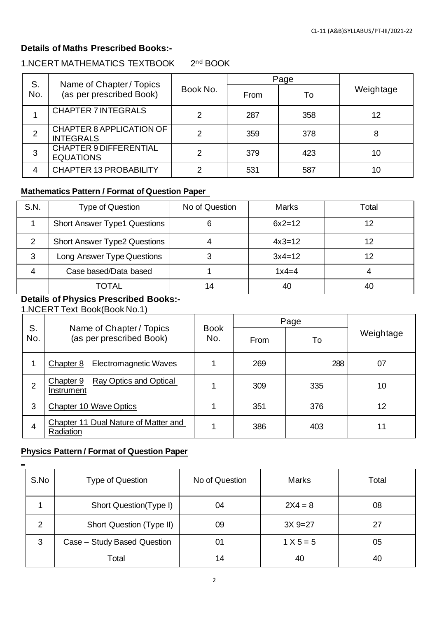### **Details of Maths Prescribed Books:-**

#### 1.NCERT MATHEMATICS TEXTBOOK 2 2<sup>nd</sup> BOOK

| S.  | Name of Chapter / Topics                            |          |      | Page |           |
|-----|-----------------------------------------------------|----------|------|------|-----------|
| No. | (as per prescribed Book)                            | Book No. | From | То   | Weightage |
|     | <b>CHAPTER 7 INTEGRALS</b>                          |          | 287  | 358  | 12        |
| 2   | <b>CHAPTER 8 APPLICATION OF</b><br><b>INTEGRALS</b> | ົ        | 359  | 378  | 8         |
| 3   | <b>CHAPTER 9 DIFFERENTIAL</b><br><b>EQUATIONS</b>   | 2        | 379  | 423  | 10        |
| 4   | <b>CHAPTER 13 PROBABILITY</b>                       |          | 531  | 587  | 10        |

## **Mathematics Pattern / Format of Question Paper**

| S.N. | <b>Type of Question</b>             | No of Question | <b>Marks</b> | Total |
|------|-------------------------------------|----------------|--------------|-------|
|      | <b>Short Answer Type1 Questions</b> | 6              | $6x2 = 12$   | 12    |
| 2    | <b>Short Answer Type2 Questions</b> |                | $4x3=12$     | 12    |
| 3    | Long Answer Type Questions          | 3              | $3x4=12$     | 12    |
|      | Case based/Data based               |                | $1x4=4$      |       |
|      | TOTAL                               | 14             | 40           | 40    |

### **Details of Physics Prescribed Books:-**

1.NCERT Text Book(Book No.1)

|     | S.                                                   |                    | Page |     |           |
|-----|------------------------------------------------------|--------------------|------|-----|-----------|
| No. | Name of Chapter / Topics<br>(as per prescribed Book) | <b>Book</b><br>No. | From | To  | Weightage |
|     | <b>Electromagnetic Waves</b><br>Chapter 8            |                    | 269  | 288 | 07        |
| 2   | Ray Optics and Optical<br>Chapter 9<br>Instrument    |                    | 309  | 335 | 10        |
| 3   | Chapter 10 Wave Optics                               |                    | 351  | 376 | 12        |
| 4   | Chapter 11 Dual Nature of Matter and<br>Radiation    |                    | 386  | 403 | 11        |

#### **Physics Pattern / Format of Question Paper**

| S.No | Type of Question            | No of Question | <b>Marks</b> | Total |
|------|-----------------------------|----------------|--------------|-------|
|      | Short Question(Type I)      | 04             | $2X4 = 8$    | 08    |
| っ    | Short Question (Type II)    | 09             | $3X9 = 27$   | 27    |
| 3    | Case - Study Based Question | 01             | $1 X 5 = 5$  | 05    |
|      | Total                       | 14             | 40           | 40    |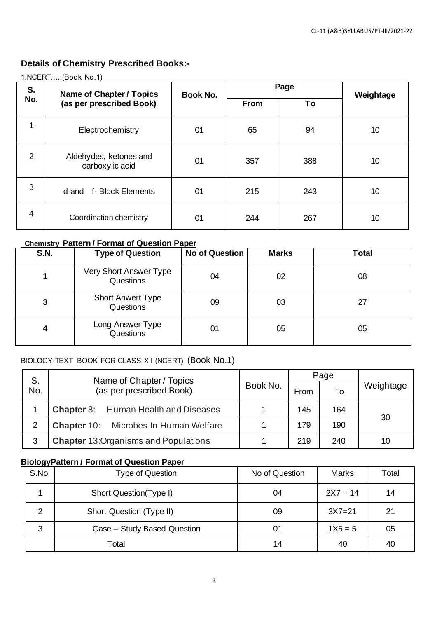### **Details of Chemistry Prescribed Books:-**

| S.  | <b>Name of Chapter / Topics</b>           | Book No. |             | Page | Weightage |  |
|-----|-------------------------------------------|----------|-------------|------|-----------|--|
| No. | (as per prescribed Book)                  |          | <b>From</b> | To   |           |  |
| 1   | Electrochemistry                          | 01       | 65          | 94   | 10        |  |
| 2   | Aldehydes, ketones and<br>carboxylic acid | 01       | 357         | 388  | 10        |  |
| 3   | f-Block Elements<br>d-and                 | 01       | 215         | 243  | 10        |  |
| 4   | Coordination chemistry                    | 01       | 244         | 267  | 10        |  |

#### 1.NCERT…..(Book No.1)

### **Chemistry Pattern / Format of Question Paper**

| <b>S.N.</b> | <b>Type of Question</b>               | <b>No of Question</b> | <b>Marks</b> | <b>Total</b> |
|-------------|---------------------------------------|-----------------------|--------------|--------------|
|             | Very Short Answer Type<br>Questions   | 04                    | 02           | 08           |
| 3           | <b>Short Anwert Type</b><br>Questions | 09                    | 03           | 27           |
| 4           | Long Answer Type<br>Questions         | 01                    | 05           | 05           |

### BIOLOGY-TEXT BOOK FOR CLASS XII (NCERT) (Book No.1)

| S.<br>Name of Chapter / Topics |                                              |          | Page |     |           |
|--------------------------------|----------------------------------------------|----------|------|-----|-----------|
| No.                            | (as per prescribed Book)                     | Book No. | From | To  | Weightage |
|                                | <b>Chapter 8:</b> Human Health and Diseases  |          | 145  | 164 | 30        |
| 2                              | <b>Chapter 10:</b> Microbes In Human Welfare |          | 179  | 190 |           |
| 3                              | <b>Chapter 13: Organisms and Populations</b> |          | 219  | 240 | 10        |

### **BiologyPattern / Format of Question Paper**

| S.No. | Type of Question            | No of Question | <b>Marks</b> | Total |
|-------|-----------------------------|----------------|--------------|-------|
|       | Short Question(Type I)      | 04             | $2X7 = 14$   | 14    |
| っ     | Short Question (Type II)    | 09             | $3X7 = 21$   | 21    |
| 3     | Case - Study Based Question | 01             | $1X5 = 5$    | 05    |
|       | Total                       | 14             | 40           | 40    |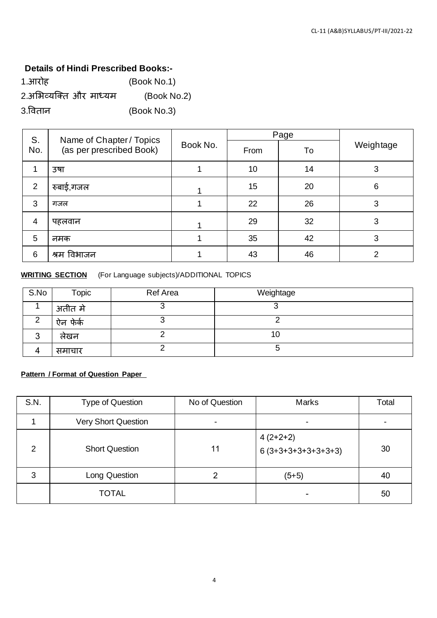#### **Details of Hindi Prescribed Books:-**

| 1.आरोह                 | (Book No.1) |
|------------------------|-------------|
| 2.अभिव्यक्ति और माध्यम | (Book No.2) |
| 3.वितान                | (Book No.3) |

| S.<br>No.      | Name of Chapter / Topics<br>(as per prescribed Book) | Book No. | Page |    |               |
|----------------|------------------------------------------------------|----------|------|----|---------------|
|                |                                                      |          | From | To | Weightage     |
| 1              | उषा                                                  |          | 10   | 14 | 3             |
| 2              | रुबाई,गजल                                            |          | 15   | 20 | 6             |
| 3              | गजल                                                  |          | 22   | 26 | 3             |
| $\overline{4}$ | पहलवान                                               |          | 29   | 32 | 3             |
| 5              | नमक                                                  |          | 35   | 42 | 3             |
| 6              | श्रम विभाजन                                          |          | 43   | 46 | $\mathcal{P}$ |

#### **WRITING SECTION** (For Language subjects)/ADDITIONAL TOPICS

| S.No | Topic    | <b>Ref Area</b> | Weightage |
|------|----------|-----------------|-----------|
|      | अतीत मे  |                 |           |
| ⌒    | ऐन फेंके |                 |           |
| ◠    | लखन      |                 | 10        |
|      | समाचार   |                 |           |

### **Pattern / Format of Question Paper**

| S.N.          | <b>Type of Question</b>    | No of Question | <b>Marks</b>                       | Total |
|---------------|----------------------------|----------------|------------------------------------|-------|
|               | <b>Very Short Question</b> | ۰              |                                    |       |
| $\mathcal{P}$ | <b>Short Question</b>      | 11             | $4(2+2+2)$<br>$6(3+3+3+3+3+3+3+3)$ | 30    |
| 3             | Long Question              |                | $(5+5)$                            | 40    |
|               | <b>TOTAL</b>               |                |                                    | 50    |